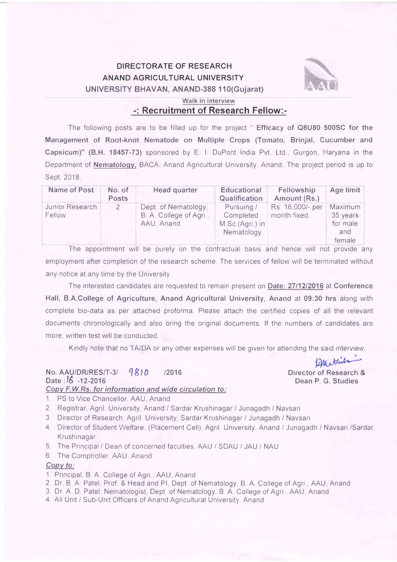### DIRECTORATE OF RESEARCH ANAND AGRICULTURAL UNIVERSITY UNIVERSITY BHAVAN, ANAND-388 110(Gujarat)



## Walk in interview

-: Recruitment of Research Fellow:-

The following posts are to be filled up for the project " Efficacy of Q8U80 500SC for the Management of Root-knot Nematode on Multiple Crops (Tomato, Brinjal, Cucumber and Capsicum)" (B.H. 18457-73) sponsored by E. I. DuPont India Pvt. Ltd., Gurgon, Haryana in the Department of **Nematology**, BACA, Anand Agricultural University, Anand. The project period is up to Sept. 2018.

| Name of Post              | No. of<br>Posts | Head quarter                                                  | Educational<br>Qualification                             | Fellowship<br>Amount (Rs.)      | Age limit                                        |
|---------------------------|-----------------|---------------------------------------------------------------|----------------------------------------------------------|---------------------------------|--------------------------------------------------|
| Junior Research<br>Fellow |                 | Dept. of Nematology,<br>B. A. College of Agri.,<br>AAU, Anand | Pursuing /<br>Completed<br>M.Sc.(Agri.) in<br>Nematology | Rs. 16,000/- per<br>month fixed | Maximum<br>35 years<br>for male<br>and<br>female |

The appointment will be purely on the contractual basis and hence will not provide any employment after completion of the research scheme. The services of fellow will be terminated without any notice at any time by the University

The interested candidates are requested to remain present on Date: 2711212016 at Conference Hall, B.A.College of Agriculture, Anand Agricultural University, Anand at 09:30 hrs along with complete bio-data as per attached proforma. Please attach the certified copies of all the relevant documents chronologically and also bring the original documents. lfthe numbers of candidates are more, written test will be conducted.

Kindly note that no TA/DA or any other expenses will be given for attending the said interview.

#### Copv F.W.RS. for information and wide circulation to: No. AAU/DR/RES/T-3/ 9810 /2016 Date : 16 -12-2016

12Af ethils Director of Research & Dean P. G. Studies

- 1. PS to Vice Chancellor, AAU, Anand
- 2. Registrar, Agril. University, Anand / Sardar Krushinagar / Junagadh / Navsari
- 3 Director of Research, Agril. University, Sardar Krushinagar / Junagadh / Navsari
- 4. Director of Student Welfare, (Placement Cell), Agril. University, Anand / Junagadh / Navsari /Sardar **Krushinagar**
- 5 The Principal / Dean of concerned faculties, AAU / SDAU / JAU / NAU
- 6 The Comptroller, AAU, Anand

#### Copv to:

- '1. Principal, B. A. College of Agri., AAU, Anand
- 2 Dr B A Patel, Prof & Head and Pl, Dept. of Nematology, B A. College of Agri , AAU, Anand
- 3. Dr. A. D. Patel, Nematologist, Dept of Nematology, B. A. College of Agri., AAU, Anand
- 4. All Unit / Sub-Unit Officers of Anand Agricultural University, Anand